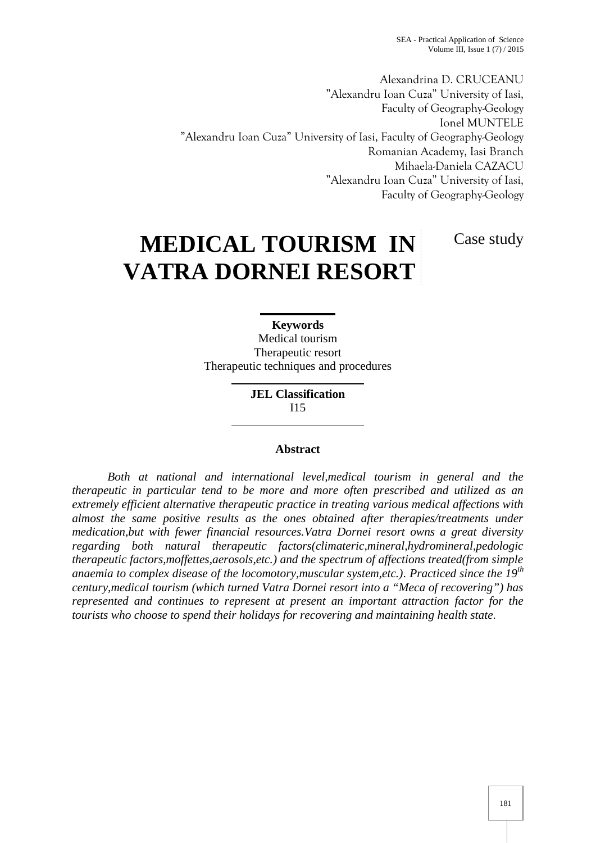Alexandrina D. CRUCEANU "Alexandru Ioan Cuza" University of Iasi, Faculty of Geography-Geology Ionel MUNTELE "Alexandru Ioan Cuza" University of Iasi, Faculty of Geography-Geology Romanian Academy, Iasi Branch Mihaela-Daniela CAZACU "Alexandru Ioan Cuza" University of Iasi, Faculty of Geography-Geology

Case study

# **MEDICAL TOURISM IN VATRA DORNEI RESORT**

**Keywords** Medical tourism Therapeutic resort Therapeutic techniques and procedures

> **JEL Classification** I15

#### **Abstract**

*Both at national and international level,medical tourism in general and the therapeutic in particular tend to be more and more often prescribed and utilized as an extremely efficient alternative therapeutic practice in treating various medical affections with almost the same positive results as the ones obtained after therapies/treatments under medication,but with fewer financial resources.Vatra Dornei resort owns a great diversity regarding both natural therapeutic factors(climateric,mineral,hydromineral,pedologic therapeutic factors,moffettes,aerosols,etc.) and the spectrum of affections treated(from simple anaemia to complex disease of the locomotory,muscular system,etc.). Practiced since the 19th century,medical tourism (which turned Vatra Dornei resort into a "Meca of recovering") has represented and continues to represent at present an important attraction factor for the tourists who choose to spend their holidays for recovering and maintaining health state*.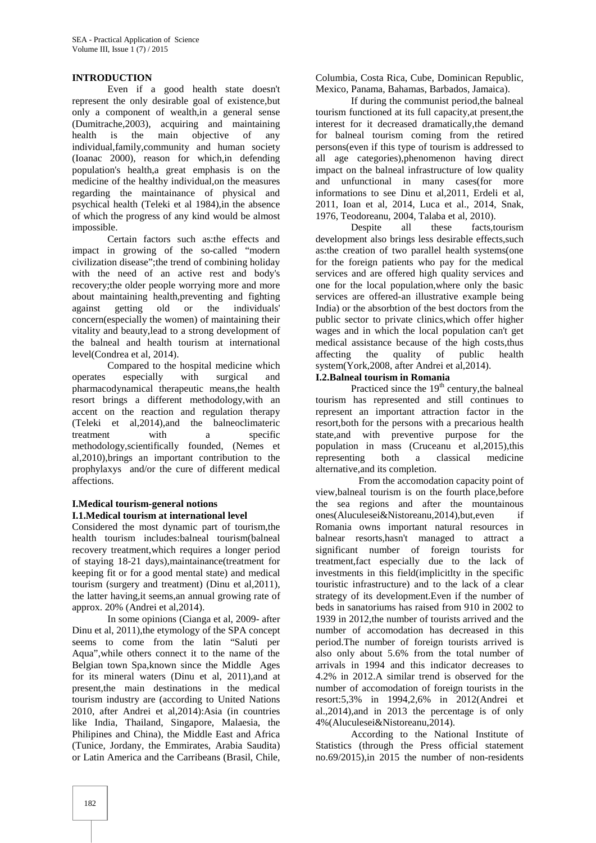#### **INTRODUCTION**

Even if a good health state doesn't represent the only desirable goal of existence,but only a component of wealth,in a general sense (Dumitrache,2003), acquiring and maintaining health is the main objective of any individual,family,community and human society (Ioanac 2000), reason for which,in defending population's health,a great emphasis is on the medicine of the healthy individual,on the measures regarding the maintainance of physical and psychical health (Teleki et al 1984),in the absence of which the progress of any kind would be almost impossible.

Certain factors such as:the effects and impact in growing of the so-called "modern civilization disease";the trend of combining holiday with the need of an active rest and body's recovery;the older people worrying more and more about maintaining health,preventing and fighting against getting old or the individuals' concern(especially the women) of maintaining their vitality and beauty,lead to a strong development of the balneal and health tourism at international level(Condrea et al, 2014).

Compared to the hospital medicine which operates especially with surgical and pharmacodynamical therapeutic means,the health resort brings a different methodology,with an accent on the reaction and regulation therapy (Teleki et al,2014),and the balneoclimateric treatment with a specific methodology,scientifically founded, (Nemes et al,2010),brings an important contribution to the prophylaxys and/or the cure of different medical affections.

#### **I.Medical tourism-general notions I.1.Medical tourism at international level**

Considered the most dynamic part of tourism,the health tourism includes:balneal tourism(balneal recovery treatment,which requires a longer period of staying 18-21 days),maintainance(treatment for keeping fit or for a good mental state) and medical tourism (surgery and treatment) (Dinu et al,2011), the latter having,it seems,an annual growing rate of approx. 20% (Andrei et al,2014).

In some opinions (Cianga et al, 2009- after Dinu et al, 2011),the etymology of the SPA concept seems to come from the latin "Saluti per Aqua",while others connect it to the name of the Belgian town Spa,known since the Middle Ages for its mineral waters (Dinu et al, 2011),and at present,the main destinations in the medical tourism industry are (according to United Nations 2010, after Andrei et al,2014):Asia (in countries like India, Thailand, Singapore, Malaesia, the Philipines and China), the Middle East and Africa (Tunice, Jordany, the Emmirates, Arabia Saudita) or Latin America and the Carribeans (Brasil, Chile, Columbia, Costa Rica, Cube, Dominican Republic, Mexico, Panama, Bahamas, Barbados, Jamaica).

If during the communist period,the balneal tourism functioned at its full capacity,at present,the interest for it decreased dramatically,the demand for balneal tourism coming from the retired persons(even if this type of tourism is addressed to all age categories),phenomenon having direct impact on the balneal infrastructure of low quality and unfunctional in many cases(for more informations to see Dinu et al,2011, Erdeli et al, 2011, Ioan et al, 2014, Luca et al., 2014, Snak, 1976, Teodoreanu, 2004, Talaba et al, 2010).

Despite all these facts,tourism development also brings less desirable effects,such as:the creation of two parallel health systems(one for the foreign patients who pay for the medical services and are offered high quality services and one for the local population,where only the basic services are offered-an illustrative example being India) or the absorbtion of the best doctors from the public sector to private clinics,which offer higher wages and in which the local population can't get medical assistance because of the high costs,thus affecting the quality of public health system(York,2008, after Andrei et al,2014).

# **I.2.Balneal tourism in Romania**

Practiced since the 19<sup>th</sup> century, the balneal tourism has represented and still continues to represent an important attraction factor in the resort,both for the persons with a precarious health state,and with preventive purpose for the population in mass (Cruceanu et al,2015),this representing both a classical medicine alternative,and its completion.

From the accomodation capacity point of view,balneal tourism is on the fourth place,before the sea regions and after the mountainous ones(Aluculesei&Nistoreanu,2014),but,even if Romania owns important natural resources in balnear resorts,hasn't managed to attract a significant number of foreign tourists for treatment,fact especially due to the lack of investments in this field(implicitlty in the specific touristic infrastructure) and to the lack of a clear strategy of its development.Even if the number of beds in sanatoriums has raised from 910 in 2002 to 1939 in 2012,the number of tourists arrived and the number of accomodation has decreased in this period.The number of foreign tourists arrived is also only about 5.6% from the total number of arrivals in 1994 and this indicator decreases to 4.2% in 2012.A similar trend is observed for the number of accomodation of foreign tourists in the resort:5,3% in 1994,2,6% in 2012(Andrei et al.,2014),and in 2013 the percentage is of only 4%(Aluculesei&Nistoreanu,2014).

According to the National Institute of Statistics (through the Press official statement no.69/2015),in 2015 the number of non-residents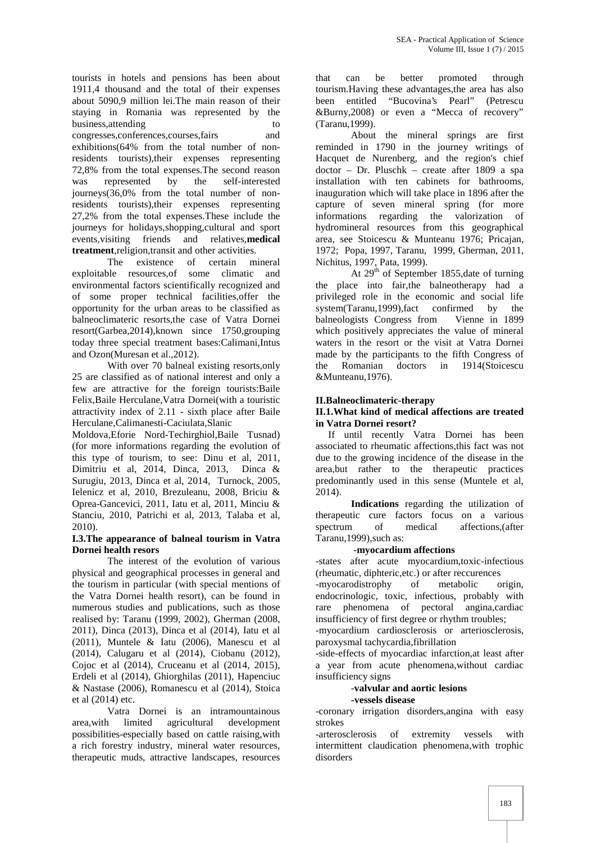tourists in hotels and pensions has been about 1911,4 thousand and the total of their expenses about 5090,9 million lei.The main reason of their staying in Romania was represented by the business, attending to to to congresses,conferences,courses,fairs and exhibitions(64% from the total number of nonresidents tourists),their expenses representing 72,8% from the total expenses.The second reason was represented by the self-interested journeys(36,0% from the total number of nonresidents tourists),their expenses representing 27,2% from the total expenses.These include the journeys for holidays, shopping, cultural and sport events,visiting friends and relatives,**medical treatment**,religion,transit and other activities.

The existence of certain mineral exploitable resources,of some climatic and environmental factors scientifically recognized and of some proper technical facilities,offer the opportunity for the urban areas to be classified as balneoclimateric resorts,the case of Vatra Dornei resort(Garbea,2014),known since 1750,grouping today three special treatment bases:Calimani,Intus and Ozon(Muresan et al.,2012).

With over 70 balneal existing resorts, only the 25 are classified as of national interest and only a few are attractive for the foreign tourists:Baile Felix,Baile Herculane,Vatra Dornei(with a touristic attractivity index of 2.11 - sixth place after Baile Herculane,Calimanesti-Caciulata,Slanic

Moldova,Eforie Nord-Techirghiol,Baile Tusnad) (for more informations regarding the evolution of this type of tourism, to see: Dinu et al, 2011, Dimitriu et al, 2014, Dinca, 2013, Dinca & Surugiu, 2013, Dinca et al, 2014, Turnock, 2005, Ielenicz et al, 2010, Brezuleanu, 2008, Briciu & Oprea-Gancevici, 2011, Iatu et al, 2011, Minciu & Stanciu, 2010, Patrichi et al, 2013, Talaba et al, 2010).

#### **I.3.The appearance of balneal tourism in Vatra Dornei health resors**

The interest of the evolution of various physical and geographical processes in general and the tourism in particular (with special mentions of the Vatra Dornei health resort), can be found in numerous studies and publications, such as those realised by: Taranu (1999, 2002), Gherman (2008, 2011), Dinca (2013), Dinca et al (2014), Iatu et al (2011), Muntele & Iatu (2006), Manescu et al (2014), Calugaru et al (2014), Ciobanu (2012), Cojoc et al (2014), Cruceanu et al (2014, 2015), Erdeli et al (2014), Ghiorghilas (2011), Hapenciuc & Nastase (2006), Romanescu et al (2014), Stoica et al (2014) etc.

Vatra Dornei is an intramountainous area,with limited agricultural development possibilities-especially based on cattle raising,with a rich forestry industry, mineral water resources, therapeutic muds, attractive landscapes, resources

that can be better promoted through tourism.Having these advantages,the area has also been entitled "Bucovina's Pearl" (Petrescu &Burny,2008) or even a "Mecca of recovery" (Taranu,1999).

About the mineral springs are first reminded in 1790 in the journey writings of Hacquet de Nurenberg, and the region's chief doctor – Dr. Pluschk – create after 1809 a spa installation with ten cabinets for bathrooms, inauguration which will take place in 1896 after the capture of seven mineral spring (for more informations regarding the valorization of hydromineral resources from this geographical area, see Stoicescu & Munteanu 1976; Pricajan, 1972; Popa, 1997, Taranu, 1999, Gherman, 2011, Nichitus, 1997, Pata, 1999).

At  $29<sup>th</sup>$  of September 1855, date of turning the place into fair,the balneotherapy had a privileged role in the economic and social life system(Taranu,1999),fact confirmed by the balneologists Congress from Vienne in 1899 which positively appreciates the value of mineral waters in the resort or the visit at Vatra Dornei made by the participants to the fifth Congress of Romanian doctors in 1914(Stoicescu &Munteanu,1976).

#### **II.Balneoclimateric-therapy**

#### **II.1.What kind of medical affections are treated in Vatra Dornei resort?**

If until recently Vatra Dornei has been associated to rheumatic affections,this fact was not due to the growing incidence of the disease in the area,but rather to the therapeutic practices predominantly used in this sense (Muntele et al, 2014).

**Indications** regarding the utilization of therapeutic cure factors focus on a various spectrum of medical affections,(after Taranu,1999),such as:

#### -**myocardium affections**

-states after acute myocardium,toxic-infectious (rheumatic, diphteric,etc.) or after reccurences

-myocarodistrophy of metabolic origin, endocrinologic, toxic, infectious, probably with rare phenomena of pectoral angina,cardiac insufficiency of first degree or rhythm troubles;

-myocardium cardiosclerosis or arteriosclerosis, paroxysmal tachycardia,fibrillation

-side-effects of myocardiac infarction,at least after a year from acute phenomena,without cardiac insufficiency signs

#### -**valvular and aortic lesions -vessels disease**

-coronary irrigation disorders,angina with easy strokes

-arterosclerosis of extremity vessels with intermittent claudication phenomena,with trophic disorders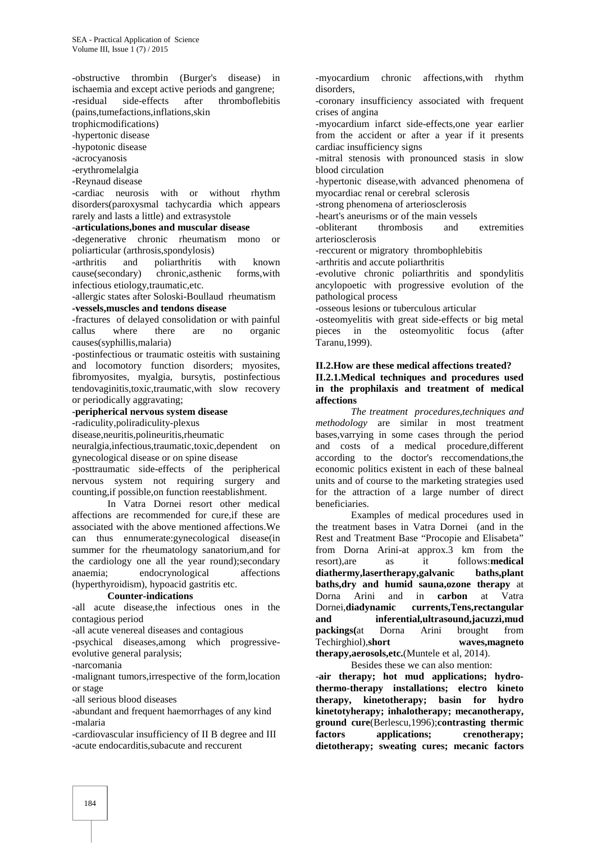-obstructive thrombin (Burger's disease) in ischaemia and except active periods and gangrene; -residual side-effects after thromboflebitis

(pains,tumefactions,inflations,skin

trophicmodifications)

-hypertonic disease -hypotonic disease

-acrocyanosis

-erythromelalgia

-Reynaud disease

-cardiac neurosis with or without rhythm disorders(paroxysmal tachycardia which appears rarely and lasts a little) and extrasystole

#### -**articulations,bones and muscular disease**

-degenerative chronic rheumatism mono or poliarticular (arthrosis,spondylosis)

-arthritis and poliarthritis with known cause(secondary) chronic,asthenic forms,with infectious etiology,traumatic,etc.

-allergic states after Soloski-Boullaud rheumatism **-vessels,muscles and tendons disease**

-fractures of delayed consolidation or with painful callus where there are no organic causes(syphillis,malaria)

-postinfectious or traumatic osteitis with sustaining and locomotory function disorders; myosites, fibromyosites, myalgia, bursytis, postinfectious tendovaginitis,toxic,traumatic,with slow recovery or periodically aggravating;

# -**peripherical nervous system disease**

-radiculity,poliradiculity-plexus

disease,neuritis,polineuritis,rheumatic

neuralgia,infectious,traumatic,toxic,dependent on gynecological disease or on spine disease

-posttraumatic side-effects of the peripherical nervous system not requiring surgery and counting,if possible,on function reestablishment.

In Vatra Dornei resort other medical affections are recommended for cure,if these are associated with the above mentioned affections.We can thus ennumerate:gynecological disease(in summer for the rheumatology sanatorium,and for the cardiology one all the year round);secondary anaemia; endocrynological affections (hyperthyroidism), hypoacid gastritis etc.

#### **Counter-indications**

-all acute disease,the infectious ones in the contagious period

-all acute venereal diseases and contagious

-psychical diseases,among which progressive evolutive general paralysis;

-narcomania

-malignant tumors,irrespective of the form,location or stage

-all serious blood diseases

-abundant and frequent haemorrhages of any kind -malaria

-cardiovascular insufficiency of II B degree and III -acute endocarditis,subacute and reccurent

-myocardium chronic affections,with rhythm disorders,

-coronary insufficiency associated with frequent crises of angina

-myocardium infarct side-effects,one year earlier from the accident or after a year if it presents cardiac insufficiency signs

-mitral stenosis with pronounced stasis in slow blood circulation

-hypertonic disease,with advanced phenomena of myocardiac renal or cerebral sclerosis

-strong phenomena of arteriosclerosis

-heart's aneurisms or of the main vessels

-obliterant thrombosis and extremities arteriosclerosis

-reccurent or migratory thrombophlebitis

-arthritis and accute poliarthritis

-evolutive chronic poliarthritis and spondylitis ancylopoetic with progressive evolution of the pathological process

-osseous lesions or tuberculous articular

-osteomyelitis with great side-effects or big metal pieces in the osteomyolitic focus (after Taranu,1999).

#### **II.2.How are these medical affections treated? II.2.1.Medical techniques and procedures used in the prophilaxis and treatment of medical affections**

*The treatment procedures,techniques and methodology* are similar in most treatment bases,varrying in some cases through the period and costs of a medical procedure,different according to the doctor's reccomendations,the economic politics existent in each of these balneal units and of course to the marketing strategies used for the attraction of a large number of direct beneficiaries.

Examples of medical procedures used in the treatment bases in Vatra Dornei (and in the Rest and Treatment Base "Procopie and Elisabeta" from Dorna Arini-at approx.3 km from the as it follows:**medical diathermy,lasertherapy,galvanic baths,plant baths,dry and humid sauna,ozone therapy** at Dorna Arini and in **carbon** at Vatra Dornei,**diadynamic currents,Tens,rectangular and inferential,ultrasound,jacuzzi,mud packings(**at Dorna Arini brought from Techirghiol),**short waves,magneto therapy,aerosols,etc.**(Muntele et al, 2014).

Besides these we can also mention:

-**air therapy; hot mud applications; hydrothermo-therapy installations; electro kineto therapy, kinetotherapy; basin for hydro kinetotyherapy; inhalotherapy; mecanotherapy, ground cure**(Berlescu,1996);**contrasting thermic factors applications; crenotherapy; dietotherapy; sweating cures; mecanic factors**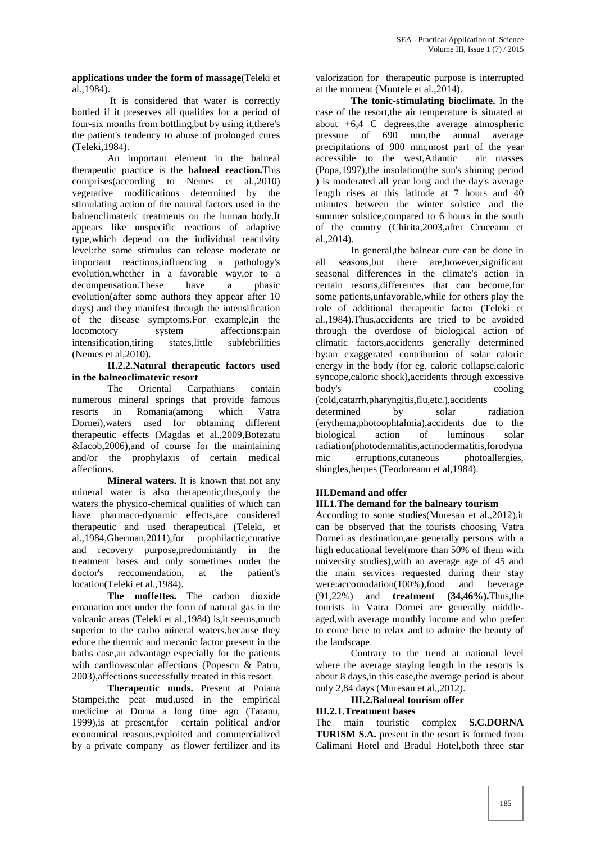**applications under the form of massage**(Teleki et al.,1984).

It is considered that water is correctly bottled if it preserves all qualities for a period of four-six months from bottling,but by using it,there's the patient's tendency to abuse of prolonged cures (Teleki,1984).

An important element in the balneal therapeutic practice is the **balneal reaction.**This comprises(according to Nemes et al.,2010) vegetative modifications determined by the stimulating action of the natural factors used in the balneoclimateric treatments on the human body.It appears like unspecific reactions of adaptive type,which depend on the individual reactivity level:the same stimulus can release moderate or important reactions,influencing a pathology's evolution,whether in a favorable way,or to a decompensation.These have a phasic evolution(after some authors they appear after 10 days) and they manifest through the intensification of the disease symptoms.For example,in the locomotory system affections:pain intensification,tiring states,little subfebrilities (Nemes et al,2010).

# **II.2.2.Natural therapeutic factors used in the balneoclimateric resort**<br>The Oriental Can

Carpathians contain body's numerous mineral springs that provide famous resorts in Romania(among which Vatra Dornei),waters used for obtaining different therapeutic effects (Magdas et al.,2009,Botezatu &Iacob,2006),and of course for the maintaining and/or the prophylaxis of certain medical affections.

**Mineral waters.** It is known that not any mineral water is also therapeutic,thus,only the waters the physico-chemical qualities of which can have pharmaco-dynamic effects,are considered therapeutic and used therapeutical (Teleki, et al.,1984,Gherman,2011),for prophilactic,curative and recovery purpose,predominantly in the treatment bases and only sometimes under the doctor's reccomendation, at the patient's location(Teleki et al.,1984).

**The moffettes.** The carbon dioxide emanation met under the form of natural gas in the volcanic areas (Teleki et al.,1984) is,it seems,much superior to the carbo mineral waters,because they educe the thermic and mecanic factor present in the baths case,an advantage especially for the patients with cardiovascular affections (Popescu & Patru, 2003),affections successfully treated in this resort.

**Therapeutic muds.** Present at Poiana Stampei,the peat mud,used in the empirical medicine at Dorna a long time ago (Taranu, 1999),is at present,for certain political and/or economical reasons,exploited and commercialized by a private company as flower fertilizer and its

valorization for therapeutic purpose is interrupted at the moment (Muntele et al.,2014).

**The tonic-stimulating bioclimate.** In the case of the resort,the air temperature is situated at about +6,4 C degrees,the average atmospheric pressure of 690 mm,the annual average precipitations of 900 mm,most part of the year<br>accessible to the west. Atlantic air masses accessible to the west,Atlantic (Popa,1997),the insolation(the sun's shining period ) is moderated all year long and the day's average length rises at this latitude at 7 hours and 40 minutes between the winter solstice and the summer solstice, compared to 6 hours in the south of the country (Chirita,2003,after Cruceanu et al.,2014).

In general,the balnear cure can be done in all seasons,but there are,however,significant seasonal differences in the climate's action in certain resorts,differences that can become,for some patients,unfavorable,while for others play the role of additional therapeutic factor (Teleki et al.,1984).Thus,accidents are tried to be avoided through the overdose of biological action of climatic factors,accidents generally determined by:an exaggerated contribution of solar caloric energy in the body (for eg. caloric collapse,caloric syncope,caloric shock),accidents through excessive cooling (cold,catarrh,pharyngitis,flu,etc.),accidents

determined by solar radiation (erythema,photoophtalmia),accidents due to the biological action of luminous solar radiation(photodermatitis,actinodermatitis,forodyna mic erruptions,cutaneous photoallergies, shingles,herpes (Teodoreanu et al,1984).

## **III.Demand and offer**

#### **III.1.The demand for the balneary tourism**

According to some studies(Muresan et al.,2012),it can be observed that the tourists choosing Vatra Dornei as destination,are generally persons with a high educational level(more than 50% of them with university studies),with an average age of 45 and the main services requested during their stay were:accomodation(100%),food and beverage (91,22%) and **treatment (34,46%).**Thus,the tourists in Vatra Dornei are generally middle aged,with average monthly income and who prefer to come here to relax and to admire the beauty of the landscape.

Contrary to the trend at national level where the average staying length in the resorts is about 8 days,in this case,the average period is about only 2,84 days (Muresan et al.,2012).

#### **III.2.Balneal tourism offer**

#### **III.2.1.Treatment bases**

The main touristic complex **S.C.DORNA TURISM S.A.** present in the resort is formed from Calimani Hotel and Bradul Hotel,both three star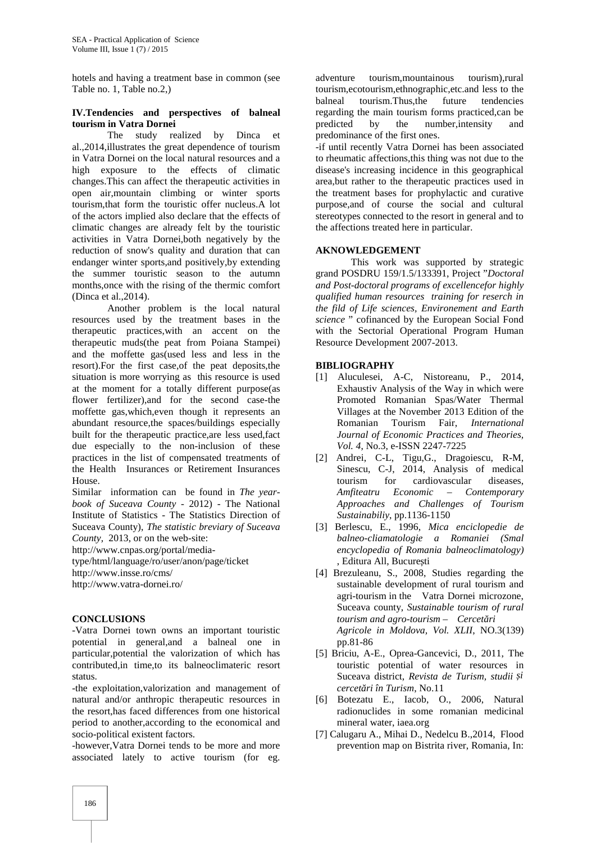hotels and having a treatment base in common (see Table no. 1, Table no.2,)

#### **IV.Tendencies and perspectives of balneal tourism in Vatra Dornei**

The study realized by Dinca et al.,2014,illustrates the great dependence of tourism in Vatra Dornei on the local natural resources and a high exposure to the effects of climatic changes.This can affect the therapeutic activities in open air,mountain climbing or winter sports tourism,that form the touristic offer nucleus.A lot of the actors implied also declare that the effects of climatic changes are already felt by the touristic activities in Vatra Dornei,both negatively by the reduction of snow's quality and duration that can endanger winter sports,and positively,by extending the summer touristic season to the autumn months,once with the rising of the thermic comfort (Dinca et al.,2014).

Another problem is the local natural resources used by the treatment bases in the therapeutic practices,with an accent on the therapeutic muds(the peat from Poiana Stampei) and the moffette gas(used less and less in the resort).For the first case,of the peat deposits,the situation is more worrying as this resource is used at the moment for a totally different purpose(as flower fertilizer),and for the second case-the moffette gas,which,even though it represents an abundant resource,the spaces/buildings especially built for the therapeutic practice,are less used,fact due especially to the non-inclusion of these practices in the list of compensated treatments of the Health Insurances or Retirement Insurances House.

Similar information can be found in *The year book of Suceava County* -2012) - The National Institute of Statistics - The Statistics Direction of Suceava County), *The statistic breviary of Suceava County,* 2013, or on the web-site:

http://www.cnpas.org/portal/media-

type/html/language/ro/user/anon/page/ticket

http://www.insse.ro/cms/

http://www.vatra-dornei.ro/

#### **CONCLUSIONS**

-Vatra Dornei town owns an important touristic potential in general,and a balneal one in particular,potential the valorization of which has contributed,in time,to its balneoclimateric resort status.

-the exploitation,valorization and management of natural and/or anthropic therapeutic resources in the resort,has faced differences from one historical period to another,according to the economical and socio-political existent factors.

-however,Vatra Dornei tends to be more and more associated lately to active tourism (for eg.

adventure tourism,mountainous tourism),rural tourism,ecotourism,ethnographic,etc.and less to the balneal tourism.Thus,the future tendencies regarding the main tourism forms practiced,can be predicted by the number,intensity and predominance of the first ones.

-if until recently Vatra Dornei has been associated to rheumatic affections,this thing was not due to the disease's increasing incidence in this geographical area,but rather to the therapeutic practices used in the treatment bases for prophylactic and curative purpose,and of course the social and cultural stereotypes connected to the resort in general and to the affections treated here in particular.

#### **AKNOWLEDGEMENT**

This work was supported by strategic grand POSDRU 159/1.5/133391, Project "*Doctoral and Post-doctoral programs of excellencefor highly qualified human resources training for reserch in the fild of Life sciences, Environement and Earth science* " cofinanced by the European Social Fond with the Sectorial Operational Program Human Resource Development 2007-2013.

#### **BIBLIOGRAPHY**

- [1] Aluculesei, A-C, Nistoreanu, P., 2014, Exhaustiv Analysis of the Way in which were Promoted Romanian Spas/Water Thermal Villages at the November 2013 Edition of the Romanian Tourism Fair, *International Journal of Economic Practices and Theories, Vol. 4*, No.3, e-ISSN 2247-7225
- [2] Andrei, C-L, Tigu, G., Dragoiescu, R-M, Sinescu, C-J, 2014, Analysis of medical tourism for cardiovascular diseases, *Amfiteatru Economic – Contemporary Approaches and Challenges of Tourism Sustainabiliy*, pp.1136-1150
- [3] Berlescu, E., 1996, *Mica enciclopedie de balneo-cliamatologie a Romaniei (Smal encyclopedia of Romania balneoclimatology)* , Editura All, Bucure ți
- [4] Brezuleanu, S., 2008, Studies regarding the sustainable development of rural tourism and agri-tourism in the Vatra Dornei microzone, Suceava county, *Sustainable tourism of rural tourism and agro-tourism – Cercet ri Agricole in Moldova, Vol. XLII*, NO.3(139) pp.81-86
- [5] Briciu, A-E., Oprea-Gancevici, D., 2011, The touristic potential of water resources in Suceava district, *Revista de Turism, studii și cercet ri în Turism*, No.11
- [6] Botezatu E., Iacob, O., 2006, Natural radionuclides in some romanian medicinal mineral water, iaea.org
- [7] Calugaru A., Mihai D., Nedelcu B.,2014, Flood prevention map on Bistrita river, Romania, In: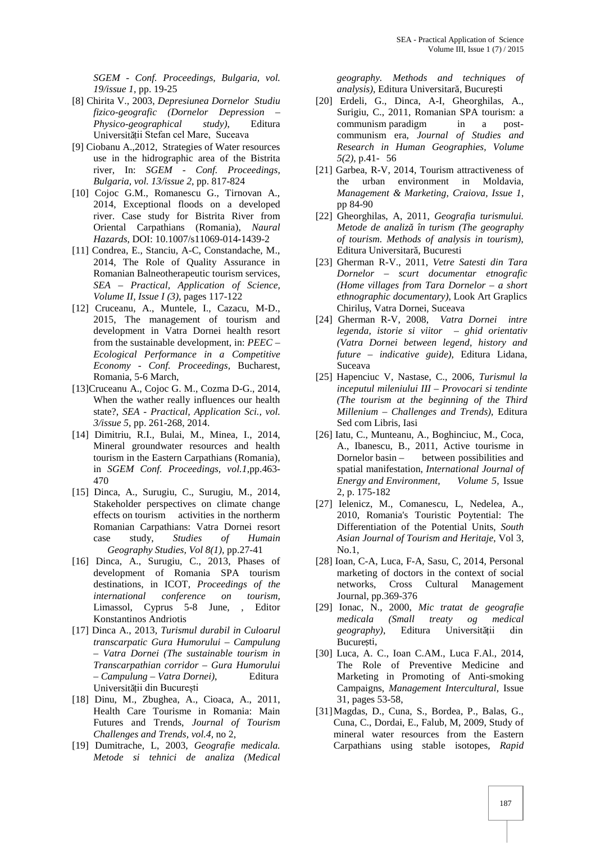*SGEM - Conf. Proceedings, Bulgaria, vol. 19/issue 1*, pp. 19-25

- [8] Chirita V.*,* 2003, *Depresiunea Dornelor Studiu fizico-geografic (Dornelor Depression – Physico-geographical study)*, Editura Universit ții Stefan cel Mare, Suceava
- [9] Ciobanu A.,2012, Strategies of Water resources use in the hidrographic area of the Bistrita river, In: *SGEM - Conf. Proceedings, Bulgaria, vol. 13/issue 2*, pp. 817-824
- [10] Cojoc G.M., Romanescu G., Tirnovan A., 2014, Exceptional floods on a developed river. Case study for Bistrita River from Oriental Carpathians (Romania), *Naural Hazards*, DOI: 10.1007/s11069-014-1439-2
- [11] Condrea, E., Stanciu, A-C, Constandache, M., 2014, The Role of Quality Assurance in Romanian Balneotherapeutic tourism services, *SEA – Practical, Application of Science, Volume II, Issue I (3),* pages 117-122
- [12] Cruceanu, A., Muntele, I., Cazacu, M-D., 2015, The management of tourism and development in Vatra Dornei health resort from the sustainable development, in: *PEEC – Ecological Performance in a Competitive Economy - Conf. Proceedings,* Bucharest, Romania, 5-6 March,
- [13]Cruceanu A., Cojoc G. M., Cozma D-G., 2014, When the wather really influences our health state?, *SEA - Practical, Application Sci., vol. 3/issue 5*, pp. 261-268, 2014.
- [14] Dimitriu, R.I., Bulai, M., Minea, I., 2014, Mineral groundwater resources and health tourism in the Eastern Carpathians (Romania), in *SGEM Conf. Proceedings, vol.1*,pp.463- 470
- [15] Dinca, A., Surugiu, C., Surugiu, M., 2014, Stakeholder perspectives on climate change effects on tourism activities in the northerm Romanian Carpathians: Vatra Dornei resort case study, *Studies of Humain Geography Studies, Vol 8(1),* pp.27-41
- [16] Dinca, A., Surugiu, C., 2013, Phases of development of Romania SPA tourism destinations, in ICOT, *Proceedings of the international conference on tourism,* Limassol, Cyprus 5-8 June, , Editor Konstantinos Andriotis
- [17] Dinca A., 2013, *Turismul durabil in Culoarul transcarpatic Gura Humorului – Campulung – Vatra Dornei (The sustainable tourism in Transcarpathian corridor – Gura Humorului – Campulung – Vatra Dornei)*, Editura Universit ții din București
- [18] Dinu, M., Zbughea, A., Cioaca, A., 2011, Health Care Tourisme in Romania: Main Futures and Trends, *Journal of Tourism Challenges and Trends, vol.4,* no 2,
- [19] Dumitrache, L, 2003, *Geografie medicala. Metode si tehnici de analiza (Medical*

*geography. Methods and techniques of analysis*), Editura Universitar, Bucure ți

- [20] Erdeli, G., Dinca, A-I, Gheorghilas, A., Surigiu, C., 2011, Romanian SPA tourism: a communism paradigm in a post communism era, *Journal of Studies and Research in Human Geographies, Volume 5(2)*, p.41- 56
- [21] Garbea, R-V, 2014, Tourism attractiveness of the urban environment in Moldavia, *Management & Marketing, Craiova, Issue 1*, pp 84-90
- [22] Gheorghilas, A, 2011, *Geografia turismului. Metode de analiză în turism (The geography of tourism. Methods of analysis in tourism)*, Editura Universitar, Bucuresti
- [23] Gherman R-V., 2011, *Vetre Satesti din Tara Dornelor – scurt documentar etnografic (Home villages from Tara Dornelor – a short ethnographic documentary)*, Look Art Graplics Chirilu, Vatra Dornei, Suceava
- [24] Gherman R-V, 2008, *Vatra Dornei intre legenda, istorie si viitor – ghid orientativ (Vatra Dornei between legend, history and future – indicative guide)*, Editura Lidana, Suceava
- [25] Hapenciuc V, Nastase, C., 2006, *Turismul la inceputul mileniului III – Provocari si tendinte (The tourism at the beginning of the Third Millenium – Challenges and Trends)*, Editura Sed com Libris, Iasi
- [26] Iatu, C., Munteanu, A., Boghinciuc, M., Coca, A., Ibanescu, B., 2011, Active tourisme in Dornelor basin – between possibilities and spatial manifestation, *International Journal of Energy and Environment, Volume 5,* Issue 2, p. 175-182
- [27] Ielenicz, M., Comanescu, L, Nedelea, A., 2010, Romania's Touristic Poytential: The Differentiation of the Potential Units, *South Asian Journal of Tourism and Heritaje*, Vol 3, No.1,
- [28] Ioan, C-A, Luca, F-A, Sasu, C, 2014, Personal marketing of doctors in the context of social networks, Cross Cultural Management Journal, pp.369-376
- [29] Ionac, N., 2000, *Mic tratat de geografie medicala (Small treaty og medical geography*), Editura Universitții din Bucure ti,
- [30] Luca, A. C., Ioan C.AM., Luca F.Al., 2014, The Role of Preventive Medicine and Marketing in Promoting of Anti-smoking Campaigns, *Management Intercultural*, Issue 31, pages 53-58,
- [31]Magdas, D., Cuna, S., Bordea, P., Balas, G., Cuna, C., Dordai, E., Falub, M, 2009, Study of mineral water resources from the Eastern Carpathians using stable isotopes*, Rapid*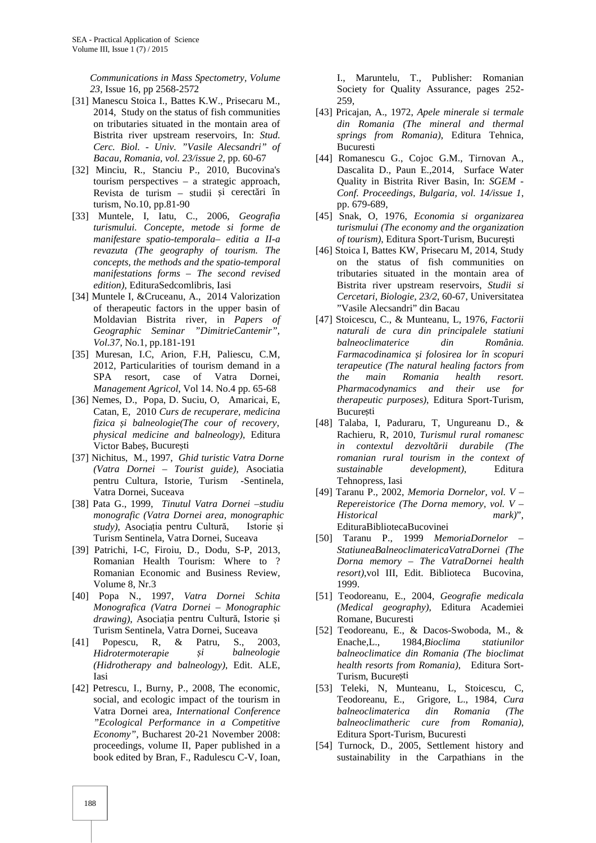*Communications in Mass Spectometry, Volume 23,* Issue 16, pp 2568-2572

- [31] Manescu Stoica I., Battes K.W., Prisecaru M., 2014, Study on the status of fish communities on tributaries situated in the montain area of Bistrita river upstream reservoirs, In: *Stud. Cerc. Biol. - Univ. "Vasile Alecsandri" of Bacau, Romania, vol. 23/issue 2*, pp. 60-67
- [32] Minciu, R., Stanciu P., 2010, Bucovina's tourism perspectives – a strategic approach, Revista de turism – studii i cerect ri în turism, No.10, pp.81-90
- [33] Muntele, I, Iatu, C., 2006, *Geografia turismului. Concepte, metode si forme de manifestare spatio-temporala– editia a II-a revazuta (The geography of tourism. The concepts, the methods and the spatio-temporal manifestations forms – The second revised edition)*, EdituraSedcomlibris, Iasi
- [34] Muntele I, &Cruceanu, A., 2014 Valorization of therapeutic factors in the upper basin of Moldavian Bistrita river, in *Papers of Geographic Seminar "DimitrieCantemir", Vol.37*, No.1, pp.181-191
- [35] Muresan, I.C, Arion, F.H, Paliescu, C.M, 2012, Particularities of tourism demand in a SPA resort, case of Vatra Dornei, *Management Agricol*, Vol 14. No.4 pp. 65-68
- [36] Nemes, D., Popa, D. Suciu, O, Amaricai, E, Catan, E, 2010 *Curs de recuperare, medicina fizica și balneologie(The cour of recovery, physical medicine and balneology)*, Editura Victor Babe, Bucure ți
- [37] Nichitus, M., 1997, *Ghid turistic Vatra Dorne (Vatra Dornei – Tourist guide)*, Asociatia pentru Cultura, Istorie, Turism -Sentinela, Vatra Dornei, Suceava
- [38] Pata G., 1999, *Tinutul Vatra Dornei –studiu monografic (Vatra Dornei area, monographic study)*, Asociația pentru Cultură, Istorie și Turism Sentinela, Vatra Dornei, Suceava
- [39] Patrichi, I-C, Firoiu, D., Dodu, S-P, 2013, Romanian Health Tourism: Where to ? Romanian Economic and Business Review, Volume 8, Nr.3
- [40] Popa N., 1997, *Vatra Dornei Schita Monografica (Vatra Dornei – Monographic drawing)*, Asociația pentru Cultură, Istorie și Turism Sentinela, Vatra Dornei, Suceava
- [41] Popescu, R, & Patru, S., 2003, *Hidrotermoterapie și balneologie (Hidrotherapy and balneology)*, Edit. ALE, Iasi
- [42] Petrescu, I., Burny, P., 2008, The economic, social, and ecologic impact of the tourism in Vatra Dornei area*, International Conference "Ecological Performance in a Competitive Economy"*, Bucharest 20-21 November 2008: proceedings, volume II, Paper published in a book edited by Bran, F., Radulescu C-V, Ioan,

I., Maruntelu, T., Publisher: Romanian Society for Quality Assurance, pages 252- 259,

- [43] Pricajan, A., 1972, *Apele minerale si termale din Romania (The mineral and thermal springs from Romania)*, Editura Tehnica, Bucuresti
- [44] Romanescu G., Cojoc G.M., Tirnovan A., Dascalita D., Paun E.,2014, Surface Water Quality in Bistrita River Basin, In: *SGEM - Conf. Proceedings, Bulgaria, vol. 14/issue 1*, pp. 679-689,
- [45] Snak, O, 1976, *Economia si organizarea turismului (The economy and the organization of tourism*), Editura Sport-Turism, Bucure ți
- [46] Stoica I, Battes KW, Prisecaru M, 2014, Study on the status of fish communities on tributaries situated in the montain area of Bistrita river upstream reservoirs, *Studii si Cercetari, Biologie, 23/2*, 60-67, Universitatea "Vasile Alecsandri" din Bacau
- [47] Stoicescu, C., & Munteanu, L, 1976, *Factorii naturali de cura din principalele statiuni balneoclimaterice din România. Farmacodinamica și folosirea lor în scopuri terapeutice (The natural healing factors from the main Romania health resort. Pharmacodynamics and their use for therapeutic purposes)*, Editura Sport-Turism, Bucure ti
- [48] Talaba, I, Paduraru, T, Ungureanu D., & Rachieru, R, 2010, *Turismul rural romanesc in contextul dezvolt rii durabile (The romanian rural tourism in the context of sustainable development)*, Editura Tehnopress, Iasi
- [49] Taranu P., 2002, *Memoria Dornelor, vol. V –Repereistorice (The Dorna memory, vol. V – Historical mark)*", EdituraBibliotecaBucovinei
- [50] Taranu P., 1999 *MemoriaDornelor – StatiuneaBalneoclimatericaVatraDornei (The Dorna memory – The VatraDornei health resort)*,vol III, Edit. Biblioteca Bucovina, 1999.
- [51] Teodoreanu, E., 2004*, Geografie medicala (Medical geography)*, Editura Academiei Romane, Bucuresti
- [52] Teodoreanu, E., & Dacos-Swoboda, M., & Enache,L., 1984,*Bioclima statiunilor balneoclimatice din Romania (The bioclimat health resorts from Romania)*, Editura Sort- Turism, Bucure ti
- [53] Teleki, N, Munteanu, L, Stoicescu, C, Teodoreanu, E., Grigore, L., 1984, *Cura balneoclimaterica din Romania (The balneoclimatheric cure from Romania)*, Editura Sport-Turism, Bucuresti
- [54] Turnock, D., 2005, Settlement history and sustainability in the Carpathians in the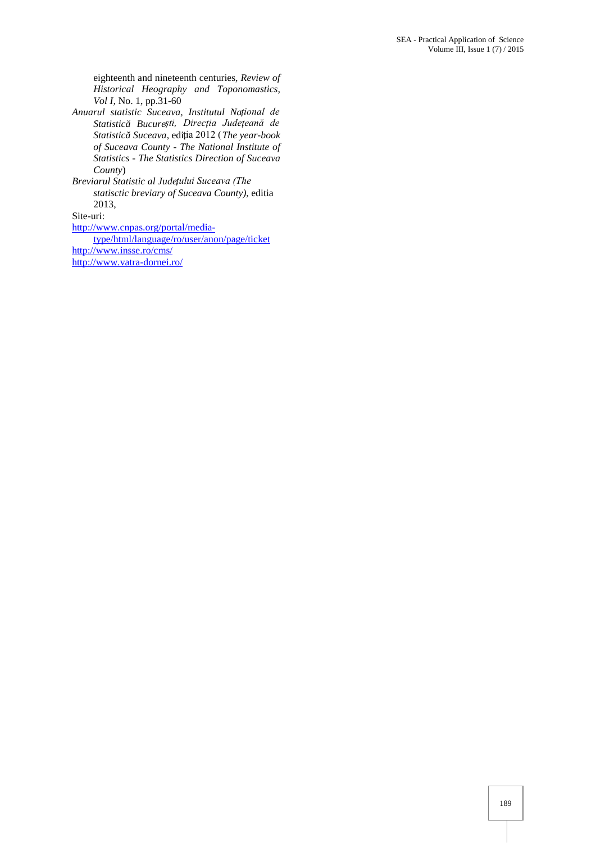eighteenth and nineteenth centuries, *Review of Historical Heography and Toponomastics, Vol I,* No. 1, pp.31-60

*Anuarul statistic Suceava, Institutul Național de Statistică București, Direcția Județeană de Statistică Suceava*, ediția 2012 (*The year-book of Suceava County - The National Institute of Statistics - The Statistics Direction of Suceava County*)

*Breviarul Statistic al Județului Suceava (The statisctic breviary of Suceava County)*, editia 2013,

Site-uri:

http://www.cnpas.org/portal/media-

type/html/language/ro/user/anon/page/ticket http://www.insse.ro/cms/ http://www.vatra-dornei.ro/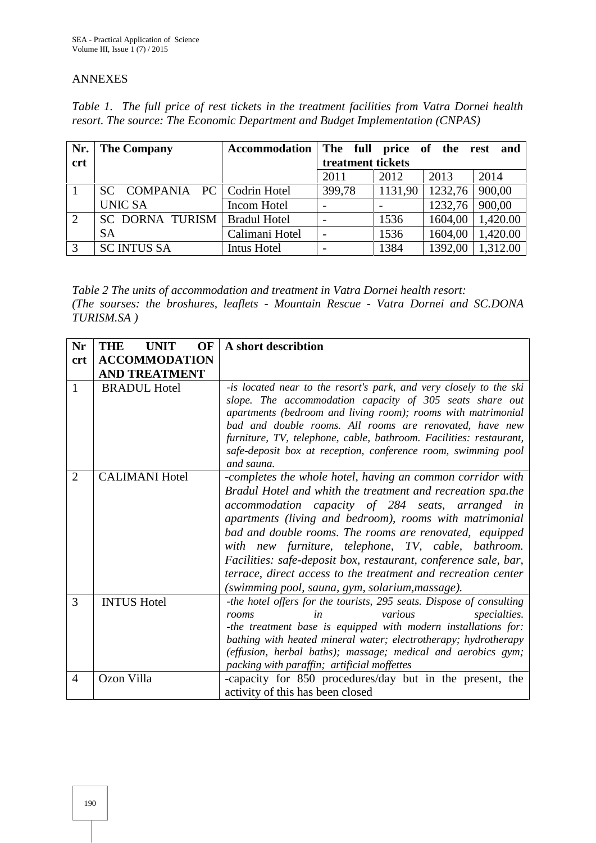# ANNEXES

*Table 1. The full price of rest tickets in the treatment facilities from Vatra Dornei health resort. The source: The Economic Department and Budget Implementation (CNPAS)*

| Nr.        | <b>The Company</b>             | Accommodation The full price of the rest and |                          |         |         |          |
|------------|--------------------------------|----------------------------------------------|--------------------------|---------|---------|----------|
| <b>crt</b> |                                |                                              | treatment tickets        |         |         |          |
|            |                                |                                              | 2011                     | 2012    | 2013    | 2014     |
|            | SC COMPANIA PC   Codrin Hotel  |                                              | 399,78                   | 1131,90 | 1232,76 | 900,00   |
|            | <b>UNIC SA</b>                 | Incom Hotel                                  |                          |         | 1232,76 | 900,00   |
| 2          | SC DORNA TURISM   Bradul Hotel |                                              | $\overline{\phantom{a}}$ | 1536    | 1604,00 | 1,420.00 |
|            | <b>SA</b>                      | Calimani Hotel                               | $\overline{\phantom{m}}$ | 1536    | 1604,00 | 1,420.00 |
| 3          | <b>SC INTUS SA</b>             | Intus Hotel                                  | $\overline{\phantom{a}}$ | 1384    | 1392,00 | 1,312.00 |

*Table 2 The units of accommodation and treatment in Vatra Dornei health resort: (The sourses: the broshures, leaflets - Mountain Rescue - Vatra Dornei and SC.DONA TURISM.SA )*

| <b>Nr</b>      | <b>THE</b><br><b>UNIT</b><br>OF | A short describtion                                                                                                                                                                                                                                                                                                                                                                                                                                                                                                                               |
|----------------|---------------------------------|---------------------------------------------------------------------------------------------------------------------------------------------------------------------------------------------------------------------------------------------------------------------------------------------------------------------------------------------------------------------------------------------------------------------------------------------------------------------------------------------------------------------------------------------------|
| crt            | <b>ACCOMMODATION</b>            |                                                                                                                                                                                                                                                                                                                                                                                                                                                                                                                                                   |
|                | <b>AND TREATMENT</b>            |                                                                                                                                                                                                                                                                                                                                                                                                                                                                                                                                                   |
| 1              | <b>BRADUL Hotel</b>             | -is located near to the resort's park, and very closely to the ski<br>slope. The accommodation capacity of 305 seats share out<br>apartments (bedroom and living room); rooms with matrimonial<br>bad and double rooms. All rooms are renovated, have new<br>furniture, TV, telephone, cable, bathroom. Facilities: restaurant,<br>safe-deposit box at reception, conference room, swimming pool<br>and sauna.                                                                                                                                    |
| $\overline{2}$ | <b>CALIMANI Hotel</b>           | -completes the whole hotel, having an common corridor with<br>Bradul Hotel and whith the treatment and recreation spa.the<br>accommodation capacity of 284 seats, arranged in<br>apartments (living and bedroom), rooms with matrimonial<br>bad and double rooms. The rooms are renovated, equipped<br>with new furniture, telephone, TV, cable, bathroom.<br>Facilities: safe-deposit box, restaurant, conference sale, bar,<br>terrace, direct access to the treatment and recreation center<br>(swimming pool, sauna, gym, solarium, massage). |
| 3              | <b>INTUS Hotel</b>              | -the hotel offers for the tourists, 295 seats. Dispose of consulting<br>specialties.<br>various<br>rooms<br>in<br>-the treatment base is equipped with modern installations for:<br>bathing with heated mineral water; electrotherapy; hydrotherapy<br>(effusion, herbal baths); massage; medical and aerobics gym;<br>packing with paraffin; artificial moffettes                                                                                                                                                                                |
| $\overline{4}$ | Ozon Villa                      | -capacity for 850 procedures/day but in the present, the<br>activity of this has been closed                                                                                                                                                                                                                                                                                                                                                                                                                                                      |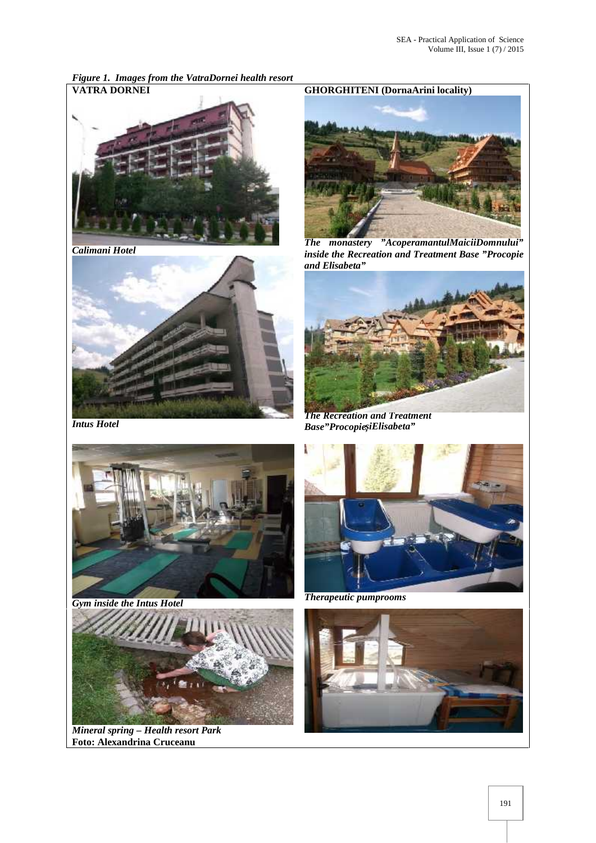*Figure 1. Images from the VatraDornei health resort*



*Calimani Hotel*



*Intus Hotel*





*Mineral spring – Health resort Park* **Foto: Alexandrina Cruceanu**

### **VATRA DORNEI GHORGHITENI (DornaArini locality)**



*The monastery "AcoperamantulMaiciiDomnului" inside the Recreation and Treatment Base "Procopie and Elisabeta"*



*The Recreation and Treatment*  $Base'$ <sup>"</sup>Procopie *iElisabeta*"